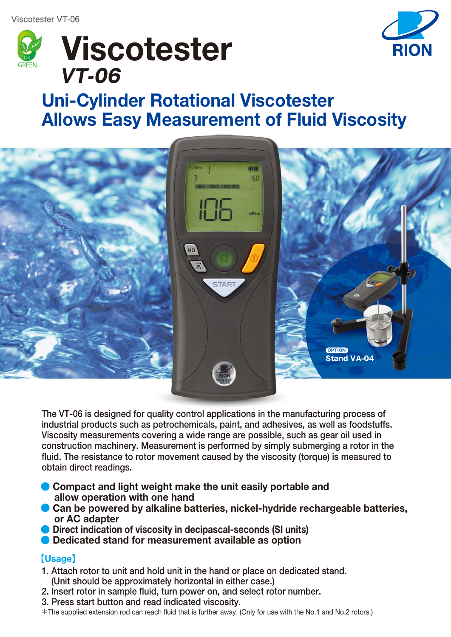



# **Uni-Cylinder Rotational Viscotester Allows Easy Measurement of Fluid Viscosity**



**The VT-06 is designed for quality control applications in the manufacturing process of industrial products such as petrochemicals, paint, and adhesives, as well as foodstuffs. Viscosity measurements covering a wide range are possible, such as gear oil used in construction machinery. Measurement is performed by simply submerging a rotor in the fluid. The resistance to rotor movement caused by the viscosity (torque) is measured to obtain direct readings.** 

- Compact and light weight make the unit easily portable and  **allow operation with one hand**
- Can be powered by alkaline batteries, nickel-hydride rechargeable batteries,  **or AC adapter**
- **Direct indication of viscosity in decipascal-seconds (SI units)**
- **Dedicated stand for measurement available as option**

# 【**Usage**】

- **1. Attach rotor to unit and hold unit in the hand or place on dedicated stand. (Unit should be approximately horizontal in either case.)**
- **2. Insert rotor in sample fluid, turn power on, and select rotor number.**
- **3. Press start button and read indicated viscosity.**
- \*The supplied extension rod can reach fluid that is further away. (Only for use with the No.1 and No.2 rotors.)